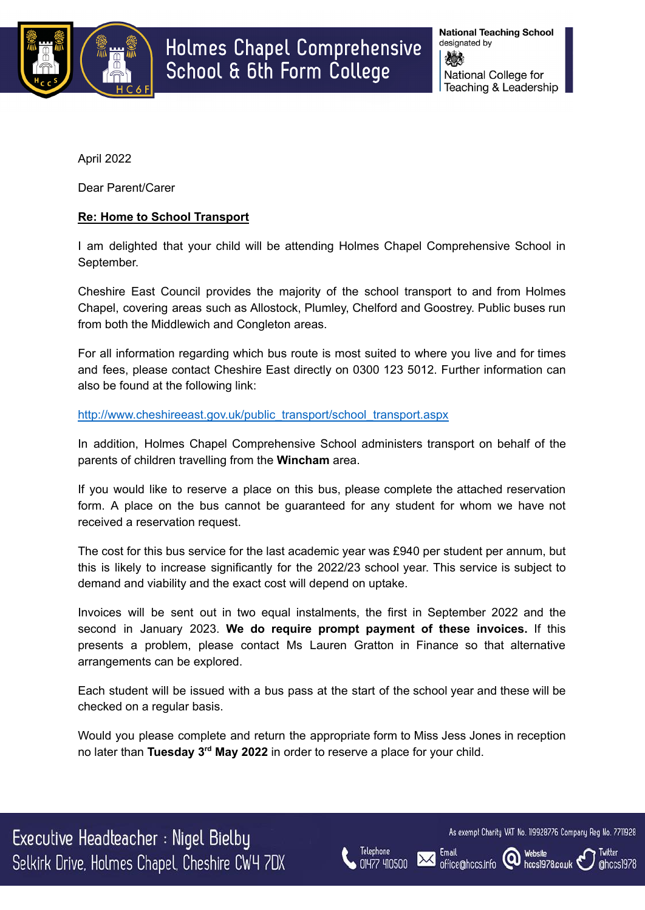

April 2022

Dear Parent/Carer

# **Re: Home to School Transport**

I am delighted that your child will be attending Holmes Chapel Comprehensive School in September.

Cheshire East Council provides the majority of the school transport to and from Holmes Chapel, covering areas such as Allostock, Plumley, Chelford and Goostrey. Public buses run from both the Middlewich and Congleton areas.

For all information regarding which bus route is most suited to where you live and for times and fees, please contact Cheshire East directly on 0300 123 5012. Further information can also be found at the following link:

[http://www.cheshireeast.gov.uk/public\\_transport/school\\_transport.aspx](http://www.cheshireeast.gov.uk/public_transport/school_transport.aspx)

In addition, Holmes Chapel Comprehensive School administers transport on behalf of the parents of children travelling from the **Wincham** area.

If you would like to reserve a place on this bus, please complete the attached reservation form. A place on the bus cannot be guaranteed for any student for whom we have not received a reservation request.

The cost for this bus service for the last academic year was £940 per student per annum, but this is likely to increase significantly for the 2022/23 school year. This service is subject to demand and viability and the exact cost will depend on uptake.

Invoices will be sent out in two equal instalments, the first in September 2022 and the second in January 2023. **We do require prompt payment of these invoices.** If this presents a problem, please contact Ms Lauren Gratton in Finance so that alternative arrangements can be explored.

Each student will be issued with a bus pass at the start of the school year and these will be checked on a regular basis.

Would you please complete and return the appropriate form to Miss Jess Jones in reception no later than **Tuesday 3 rd May 2022** in order to reserve a place for your child.

Executive Headteacher : Nigel Bielby Selkirk Drive, Holmes Chapel, Cheshire CW4 7DX



**Fmail** 

office@hccs.info

As exempt Charity VAT No. 119928776 Company Reg No. 7711928

hccs1978.co.uk

 $\omega$ 

Twitter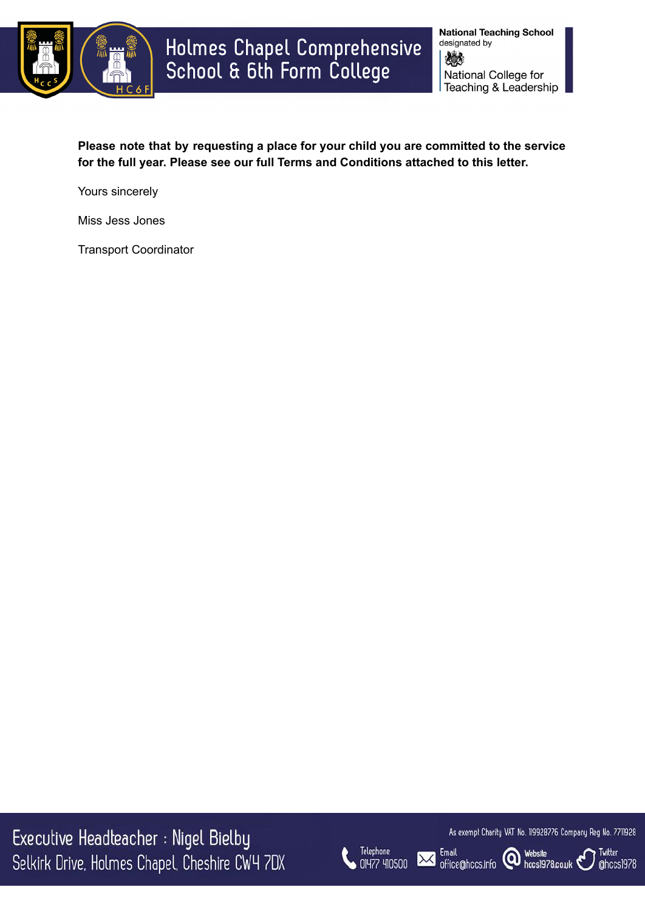

**National Teaching School** designated by 嫁 National College for Teaching & Leadership

**Please note that by requesting a place for your child you are committed to the service for the full year. Please see our full Terms and Conditions attached to this letter.**

Yours sincerely

Miss Jess Jones

Transport Coordinator

Executive Headteacher : Nigel Bielby Selkirk Drive, Holmes Chapel, Cheshire CW4 7DX



As exempt Charity VAT No. 119928776 Company Reg No. 7711928

Twitter

@hccs1978

Email office@hccs.info **@** Website

**Email** 

 $\boldsymbol{\times}$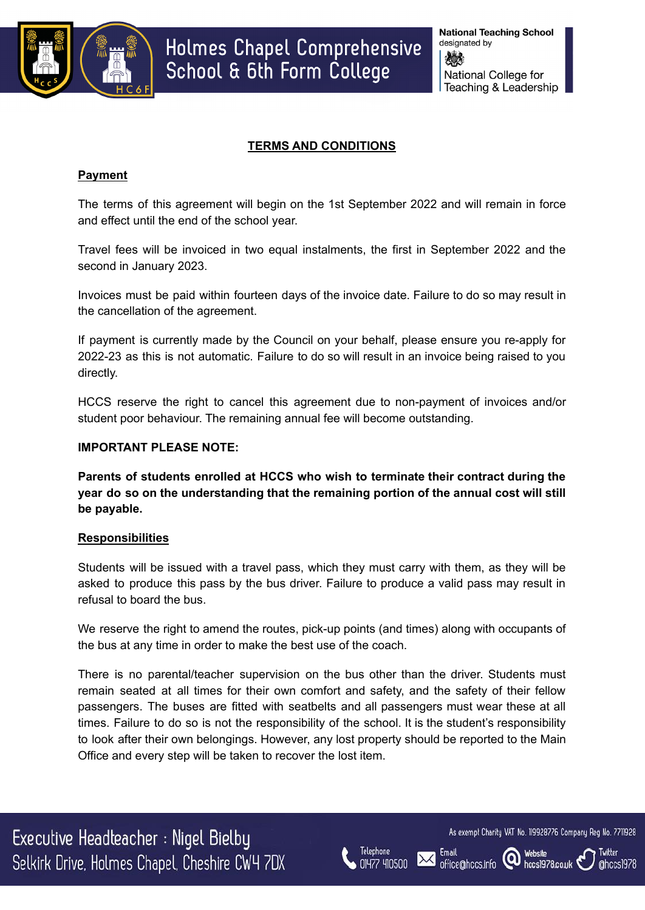

### **TERMS AND CONDITIONS**

### **Payment**

The terms of this agreement will begin on the 1st September 2022 and will remain in force and effect until the end of the school year.

Travel fees will be invoiced in two equal instalments, the first in September 2022 and the second in January 2023.

Invoices must be paid within fourteen days of the invoice date. Failure to do so may result in the cancellation of the agreement.

If payment is currently made by the Council on your behalf, please ensure you re-apply for 2022-23 as this is not automatic. Failure to do so will result in an invoice being raised to you directly.

HCCS reserve the right to cancel this agreement due to non-payment of invoices and/or student poor behaviour. The remaining annual fee will become outstanding.

#### **IMPORTANT PLEASE NOTE:**

**Parents of students enrolled at HCCS who wish to terminate their contract during the year do so on the understanding that the remaining portion of the annual cost will still be payable.**

#### **Responsibilities**

Students will be issued with a travel pass, which they must carry with them, as they will be asked to produce this pass by the bus driver. Failure to produce a valid pass may result in refusal to board the bus.

We reserve the right to amend the routes, pick-up points (and times) along with occupants of the bus at any time in order to make the best use of the coach.

There is no parental/teacher supervision on the bus other than the driver. Students must remain seated at all times for their own comfort and safety, and the safety of their fellow passengers. The buses are fitted with seatbelts and all passengers must wear these at all times. Failure to do so is not the responsibility of the school. It is the student's responsibility to look after their own belongings. However, any lost property should be reported to the Main Office and every step will be taken to recover the lost item.

Executive Headteacher : Nigel Bielby Selkirk Drive, Holmes Chapel, Cheshire CW4 7DX



**Fmail** 

office@hccs.info

As exempt Charity VAT No. 119928776 Company Reg No. 7711928

hccs1978.co.uk

(Q)

Twitter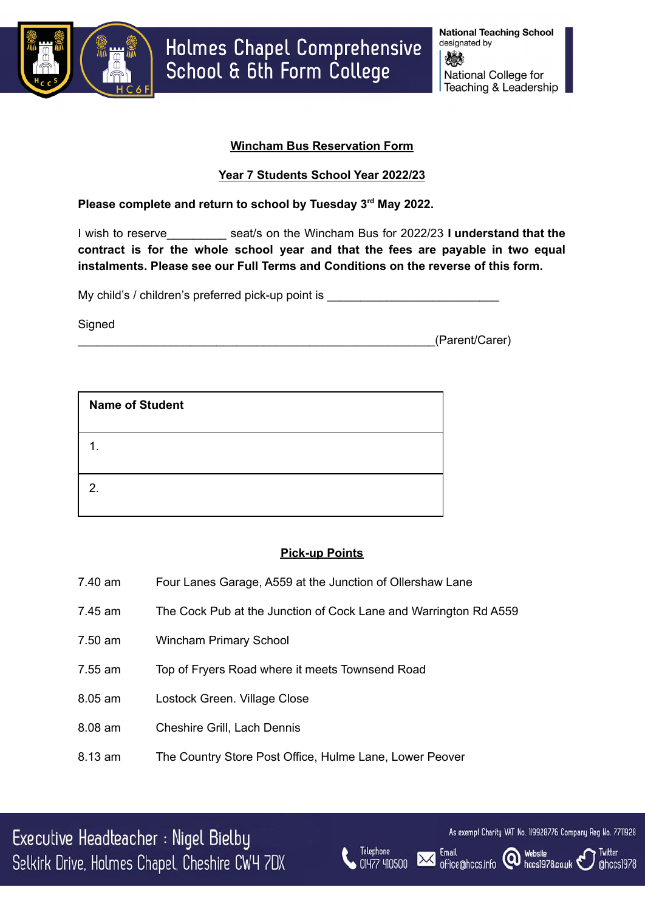

# **Wincham Bus Reservation Form**

# **Year 7 Students School Year 2022/23**

### **Please complete and return to school by Tuesday 3 rd May 2022.**

I wish to reserve\_\_\_\_\_\_\_\_\_ seat/s on the Wincham Bus for 2022/23 **I understand that the contract is for the whole school year and that the fees are payable in two equal instalments. Please see our Full Terms and Conditions on the reverse of this form.**

My child's / children's preferred pick-up point is

Signed

\_\_\_\_\_\_\_\_\_\_\_\_\_\_\_\_\_\_\_\_\_\_\_\_\_\_\_\_\_\_\_\_\_\_\_\_\_\_\_\_\_\_\_\_\_\_\_\_\_\_\_\_\_\_(Parent/Carer)

| <b>Name of Student</b> |
|------------------------|
|                        |
| 2.                     |

# **Pick-up Points**

Telephone

01477 410500

Email

office@hccs.info

- 7.40 am Four Lanes Garage, A559 at the Junction of Ollershaw Lane
- 7.45 am The Cock Pub at the Junction of Cock Lane and Warrington Rd A559
- 7.50 am Wincham Primary School
- 7.55 am Top of Fryers Road where it meets Townsend Road
- 8.05 am Lostock Green. Village Close
- 8.08 am Cheshire Grill, Lach Dennis
- 8.13 am The Country Store Post Office, Hulme Lane, Lower Peover

Executive Headteacher : Nigel Bielby Selkirk Drive, Holmes Chapel, Cheshire CW4 7DX



hccs1978.co.uk

**Website** 

(ဝ)

Twitter